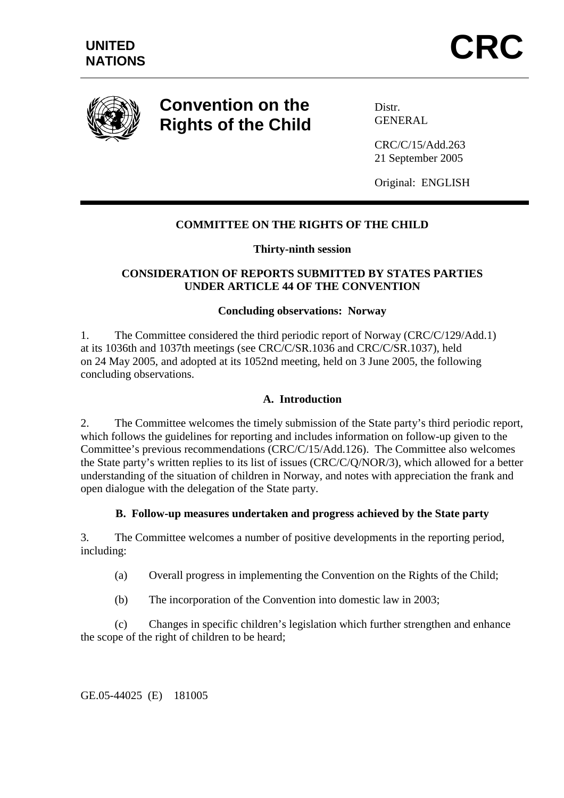

# **Convention on the Rights of the Child**

Distr. **GENERAL** 

CRC/C/15/Add.263 21 September 2005

Original: ENGLISH

# **COMMITTEE ON THE RIGHTS OF THE CHILD**

#### **Thirty-ninth session**

#### **CONSIDERATION OF REPORTS SUBMITTED BY STATES PARTIES UNDER ARTICLE 44 OF THE CONVENTION**

#### **Concluding observations: Norway**

1. The Committee considered the third periodic report of Norway (CRC/C/129/Add.1) at its 1036th and 1037th meetings (see CRC/C/SR.1036 and CRC/C/SR.1037), held on 24 May 2005, and adopted at its 1052nd meeting, held on 3 June 2005, the following concluding observations.

## **A. Introduction**

2. The Committee welcomes the timely submission of the State party's third periodic report, which follows the guidelines for reporting and includes information on follow-up given to the Committee's previous recommendations (CRC/C/15/Add.126). The Committee also welcomes the State party's written replies to its list of issues (CRC/C/Q/NOR/3), which allowed for a better understanding of the situation of children in Norway, and notes with appreciation the frank and open dialogue with the delegation of the State party.

## **B. Follow-up measures undertaken and progress achieved by the State party**

3. The Committee welcomes a number of positive developments in the reporting period, including:

- (a) Overall progress in implementing the Convention on the Rights of the Child;
- (b) The incorporation of the Convention into domestic law in 2003;

 (c) Changes in specific children's legislation which further strengthen and enhance the scope of the right of children to be heard;

GE.05-44025 (E) 181005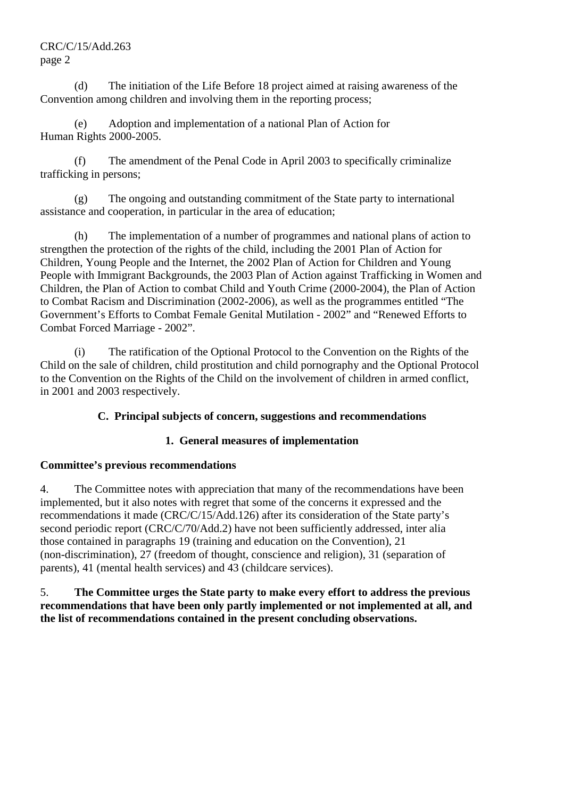## CRC/C/15/Add.263 page 2

 (d) The initiation of the Life Before 18 project aimed at raising awareness of the Convention among children and involving them in the reporting process;

 (e) Adoption and implementation of a national Plan of Action for Human Rights 2000-2005.

 (f) The amendment of the Penal Code in April 2003 to specifically criminalize trafficking in persons;

 (g) The ongoing and outstanding commitment of the State party to international assistance and cooperation, in particular in the area of education;

 (h) The implementation of a number of programmes and national plans of action to strengthen the protection of the rights of the child, including the 2001 Plan of Action for Children, Young People and the Internet, the 2002 Plan of Action for Children and Young People with Immigrant Backgrounds, the 2003 Plan of Action against Trafficking in Women and Children, the Plan of Action to combat Child and Youth Crime (2000-2004), the Plan of Action to Combat Racism and Discrimination (2002-2006), as well as the programmes entitled "The Government's Efforts to Combat Female Genital Mutilation - 2002" and "Renewed Efforts to Combat Forced Marriage - 2002".

 (i) The ratification of the Optional Protocol to the Convention on the Rights of the Child on the sale of children, child prostitution and child pornography and the Optional Protocol to the Convention on the Rights of the Child on the involvement of children in armed conflict, in 2001 and 2003 respectively.

# **C. Principal subjects of concern, suggestions and recommendations**

# **1. General measures of implementation**

# **Committee's previous recommendations**

4. The Committee notes with appreciation that many of the recommendations have been implemented, but it also notes with regret that some of the concerns it expressed and the recommendations it made (CRC/C/15/Add.126) after its consideration of the State party's second periodic report (CRC/C/70/Add.2) have not been sufficiently addressed, inter alia those contained in paragraphs 19 (training and education on the Convention), 21 (non-discrimination), 27 (freedom of thought, conscience and religion), 31 (separation of parents), 41 (mental health services) and 43 (childcare services).

## 5. **The Committee urges the State party to make every effort to address the previous recommendations that have been only partly implemented or not implemented at all, and the list of recommendations contained in the present concluding observations.**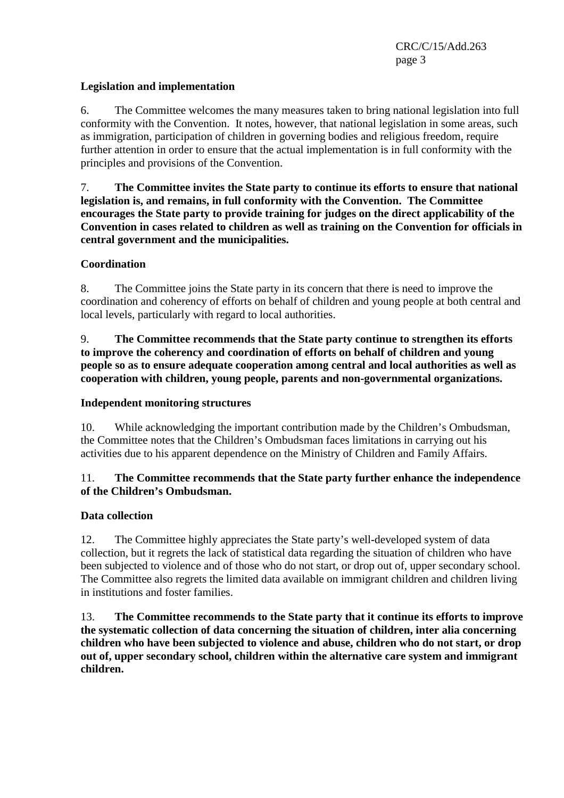## **Legislation and implementation**

6. The Committee welcomes the many measures taken to bring national legislation into full conformity with the Convention. It notes, however, that national legislation in some areas, such as immigration, participation of children in governing bodies and religious freedom, require further attention in order to ensure that the actual implementation is in full conformity with the principles and provisions of the Convention.

7. **The Committee invites the State party to continue its efforts to ensure that national legislation is, and remains, in full conformity with the Convention. The Committee encourages the State party to provide training for judges on the direct applicability of the Convention in cases related to children as well as training on the Convention for officials in central government and the municipalities.**

## **Coordination**

8. The Committee joins the State party in its concern that there is need to improve the coordination and coherency of efforts on behalf of children and young people at both central and local levels, particularly with regard to local authorities.

9. **The Committee recommends that the State party continue to strengthen its efforts to improve the coherency and coordination of efforts on behalf of children and young people so as to ensure adequate cooperation among central and local authorities as well as cooperation with children, young people, parents and non-governmental organizations.**

## **Independent monitoring structures**

10. While acknowledging the important contribution made by the Children's Ombudsman, the Committee notes that the Children's Ombudsman faces limitations in carrying out his activities due to his apparent dependence on the Ministry of Children and Family Affairs.

## 11. **The Committee recommends that the State party further enhance the independence of the Children's Ombudsman.**

## **Data collection**

12. The Committee highly appreciates the State party's well-developed system of data collection, but it regrets the lack of statistical data regarding the situation of children who have been subjected to violence and of those who do not start, or drop out of, upper secondary school. The Committee also regrets the limited data available on immigrant children and children living in institutions and foster families.

13. **The Committee recommends to the State party that it continue its efforts to improve the systematic collection of data concerning the situation of children, inter alia concerning children who have been subjected to violence and abuse, children who do not start, or drop out of, upper secondary school, children within the alternative care system and immigrant children.**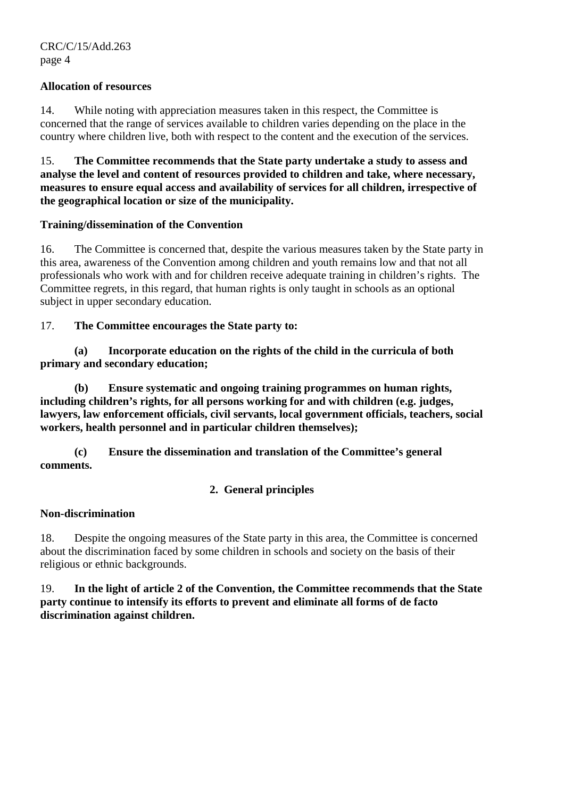## **Allocation of resources**

14. While noting with appreciation measures taken in this respect, the Committee is concerned that the range of services available to children varies depending on the place in the country where children live, both with respect to the content and the execution of the services.

15. **The Committee recommends that the State party undertake a study to assess and analyse the level and content of resources provided to children and take, where necessary, measures to ensure equal access and availability of services for all children, irrespective of the geographical location or size of the municipality.**

## **Training/dissemination of the Convention**

16. The Committee is concerned that, despite the various measures taken by the State party in this area, awareness of the Convention among children and youth remains low and that not all professionals who work with and for children receive adequate training in children's rights. The Committee regrets, in this regard, that human rights is only taught in schools as an optional subject in upper secondary education.

## 17. **The Committee encourages the State party to:**

 **(a) Incorporate education on the rights of the child in the curricula of both primary and secondary education;** 

 **(b) Ensure systematic and ongoing training programmes on human rights, including children's rights, for all persons working for and with children (e.g. judges, lawyers, law enforcement officials, civil servants, local government officials, teachers, social workers, health personnel and in particular children themselves);** 

 **(c) Ensure the dissemination and translation of the Committee's general comments.**

**2. General principles** 

## **Non-discrimination**

18. Despite the ongoing measures of the State party in this area, the Committee is concerned about the discrimination faced by some children in schools and society on the basis of their religious or ethnic backgrounds.

19. **In the light of article 2 of the Convention, the Committee recommends that the State party continue to intensify its efforts to prevent and eliminate all forms of de facto discrimination against children.**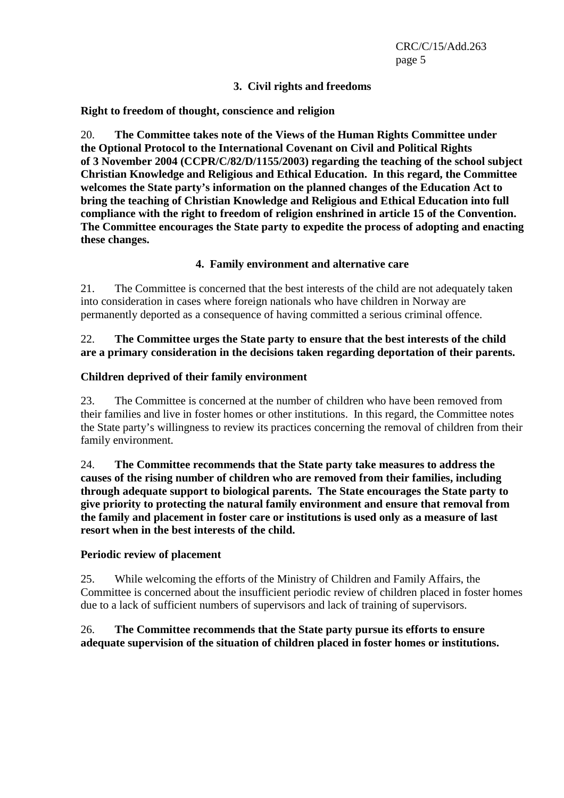## **3. Civil rights and freedoms**

## **Right to freedom of thought, conscience and religion**

20. **The Committee takes note of the Views of the Human Rights Committee under the Optional Protocol to the International Covenant on Civil and Political Rights of 3 November 2004 (CCPR/C/82/D/1155/2003) regarding the teaching of the school subject Christian Knowledge and Religious and Ethical Education. In this regard, the Committee welcomes the State party's information on the planned changes of the Education Act to bring the teaching of Christian Knowledge and Religious and Ethical Education into full compliance with the right to freedom of religion enshrined in article 15 of the Convention. The Committee encourages the State party to expedite the process of adopting and enacting these changes.**

## **4. Family environment and alternative care**

21. The Committee is concerned that the best interests of the child are not adequately taken into consideration in cases where foreign nationals who have children in Norway are permanently deported as a consequence of having committed a serious criminal offence.

## 22. **The Committee urges the State party to ensure that the best interests of the child are a primary consideration in the decisions taken regarding deportation of their parents.**

#### **Children deprived of their family environment**

23. The Committee is concerned at the number of children who have been removed from their families and live in foster homes or other institutions. In this regard, the Committee notes the State party's willingness to review its practices concerning the removal of children from their family environment.

24. **The Committee recommends that the State party take measures to address the causes of the rising number of children who are removed from their families, including through adequate support to biological parents. The State encourages the State party to give priority to protecting the natural family environment and ensure that removal from the family and placement in foster care or institutions is used only as a measure of last resort when in the best interests of the child.**

#### **Periodic review of placement**

25. While welcoming the efforts of the Ministry of Children and Family Affairs, the Committee is concerned about the insufficient periodic review of children placed in foster homes due to a lack of sufficient numbers of supervisors and lack of training of supervisors.

## 26. **The Committee recommends that the State party pursue its efforts to ensure adequate supervision of the situation of children placed in foster homes or institutions.**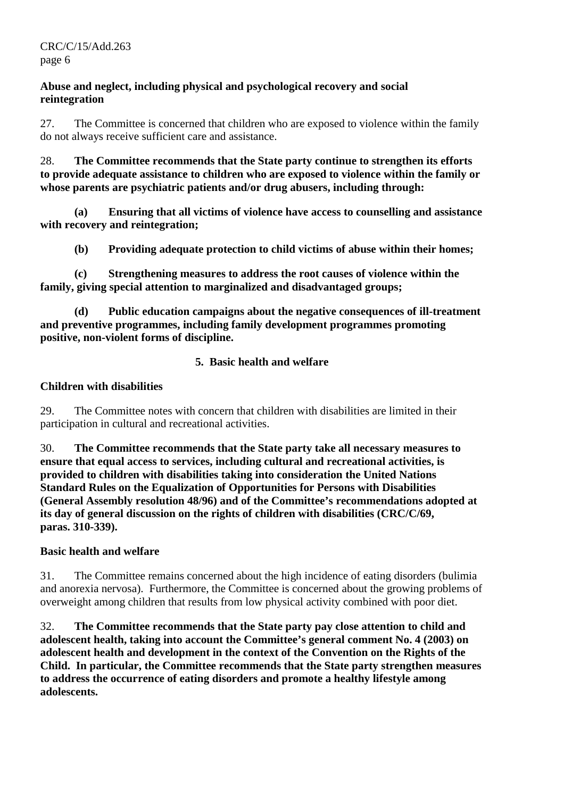## **Abuse and neglect, including physical and psychological recovery and social reintegration**

27. The Committee is concerned that children who are exposed to violence within the family do not always receive sufficient care and assistance.

28. **The Committee recommends that the State party continue to strengthen its efforts to provide adequate assistance to children who are exposed to violence within the family or whose parents are psychiatric patients and/or drug abusers, including through:** 

**(a) Ensuring that all victims of violence have access to counselling and assistance with recovery and reintegration;** 

 **(b) Providing adequate protection to child victims of abuse within their homes;** 

 **(c) Strengthening measures to address the root causes of violence within the family, giving special attention to marginalized and disadvantaged groups;** 

**(d) Public education campaigns about the negative consequences of ill-treatment and preventive programmes, including family development programmes promoting positive, non-violent forms of discipline.** 

## **5. Basic health and welfare**

## **Children with disabilities**

29. The Committee notes with concern that children with disabilities are limited in their participation in cultural and recreational activities.

30. **The Committee recommends that the State party take all necessary measures to ensure that equal access to services, including cultural and recreational activities, is provided to children with disabilities taking into consideration the United Nations Standard Rules on the Equalization of Opportunities for Persons with Disabilities (General Assembly resolution 48/96) and of the Committee's recommendations adopted at its day of general discussion on the rights of children with disabilities (CRC/C/69, paras. 310-339).**

## **Basic health and welfare**

31. The Committee remains concerned about the high incidence of eating disorders (bulimia and anorexia nervosa). Furthermore, the Committee is concerned about the growing problems of overweight among children that results from low physical activity combined with poor diet.

32. **The Committee recommends that the State party pay close attention to child and adolescent health, taking into account the Committee's general comment No. 4 (2003) on adolescent health and development in the context of the Convention on the Rights of the Child. In particular, the Committee recommends that the State party strengthen measures to address the occurrence of eating disorders and promote a healthy lifestyle among adolescents.**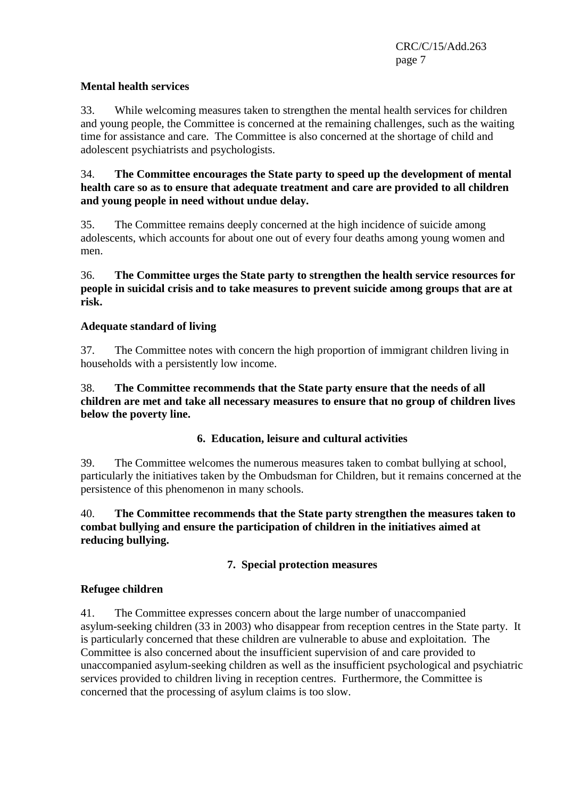#### **Mental health services**

33. While welcoming measures taken to strengthen the mental health services for children and young people, the Committee is concerned at the remaining challenges, such as the waiting time for assistance and care. The Committee is also concerned at the shortage of child and adolescent psychiatrists and psychologists.

#### 34. **The Committee encourages the State party to speed up the development of mental health care so as to ensure that adequate treatment and care are provided to all children and young people in need without undue delay.**

35. The Committee remains deeply concerned at the high incidence of suicide among adolescents, which accounts for about one out of every four deaths among young women and men.

36. **The Committee urges the State party to strengthen the health service resources for people in suicidal crisis and to take measures to prevent suicide among groups that are at risk.**

#### **Adequate standard of living**

37. The Committee notes with concern the high proportion of immigrant children living in households with a persistently low income.

38. **The Committee recommends that the State party ensure that the needs of all children are met and take all necessary measures to ensure that no group of children lives below the poverty line.**

## **6. Education, leisure and cultural activities**

39. The Committee welcomes the numerous measures taken to combat bullying at school, particularly the initiatives taken by the Ombudsman for Children, but it remains concerned at the persistence of this phenomenon in many schools.

40. **The Committee recommends that the State party strengthen the measures taken to combat bullying and ensure the participation of children in the initiatives aimed at reducing bullying.**

#### **7. Special protection measures**

#### **Refugee children**

41. The Committee expresses concern about the large number of unaccompanied asylum-seeking children (33 in 2003) who disappear from reception centres in the State party. It is particularly concerned that these children are vulnerable to abuse and exploitation. The Committee is also concerned about the insufficient supervision of and care provided to unaccompanied asylum-seeking children as well as the insufficient psychological and psychiatric services provided to children living in reception centres. Furthermore, the Committee is concerned that the processing of asylum claims is too slow.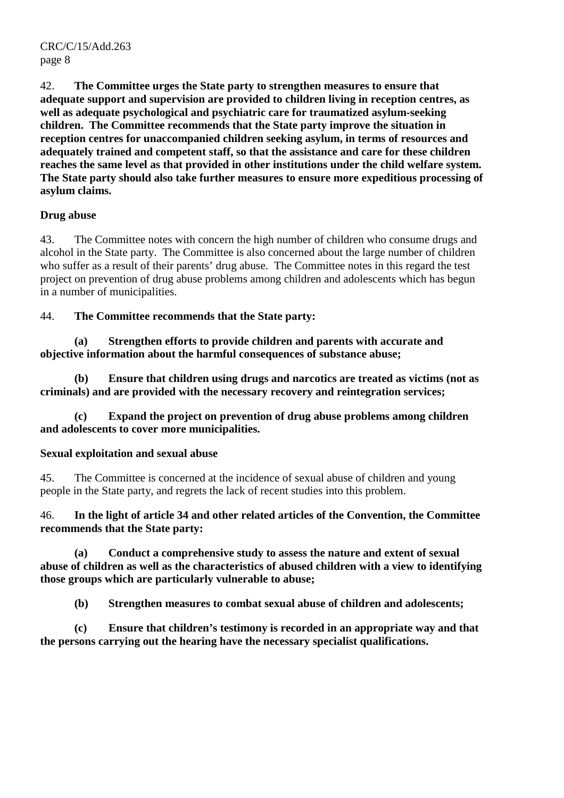CRC/C/15/Add.263 page 8

42. **The Committee urges the State party to strengthen measures to ensure that adequate support and supervision are provided to children living in reception centres, as well as adequate psychological and psychiatric care for traumatized asylum-seeking children. The Committee recommends that the State party improve the situation in reception centres for unaccompanied children seeking asylum, in terms of resources and adequately trained and competent staff, so that the assistance and care for these children reaches the same level as that provided in other institutions under the child welfare system. The State party should also take further measures to ensure more expeditious processing of asylum claims.** 

## **Drug abuse**

43. The Committee notes with concern the high number of children who consume drugs and alcohol in the State party. The Committee is also concerned about the large number of children who suffer as a result of their parents' drug abuse. The Committee notes in this regard the test project on prevention of drug abuse problems among children and adolescents which has begun in a number of municipalities.

44. **The Committee recommends that the State party:** 

 **(a) Strengthen efforts to provide children and parents with accurate and objective information about the harmful consequences of substance abuse;** 

 **(b) Ensure that children using drugs and narcotics are treated as victims (not as criminals) and are provided with the necessary recovery and reintegration services;** 

 **(c) Expand the project on prevention of drug abuse problems among children and adolescents to cover more municipalities.** 

## **Sexual exploitation and sexual abuse**

45. The Committee is concerned at the incidence of sexual abuse of children and young people in the State party, and regrets the lack of recent studies into this problem.

46. **In the light of article 34 and other related articles of the Convention, the Committee recommends that the State party:** 

 **(a) Conduct a comprehensive study to assess the nature and extent of sexual abuse of children as well as the characteristics of abused children with a view to identifying those groups which are particularly vulnerable to abuse;** 

 **(b) Strengthen measures to combat sexual abuse of children and adolescents;** 

 **(c) Ensure that children's testimony is recorded in an appropriate way and that the persons carrying out the hearing have the necessary specialist qualifications.**